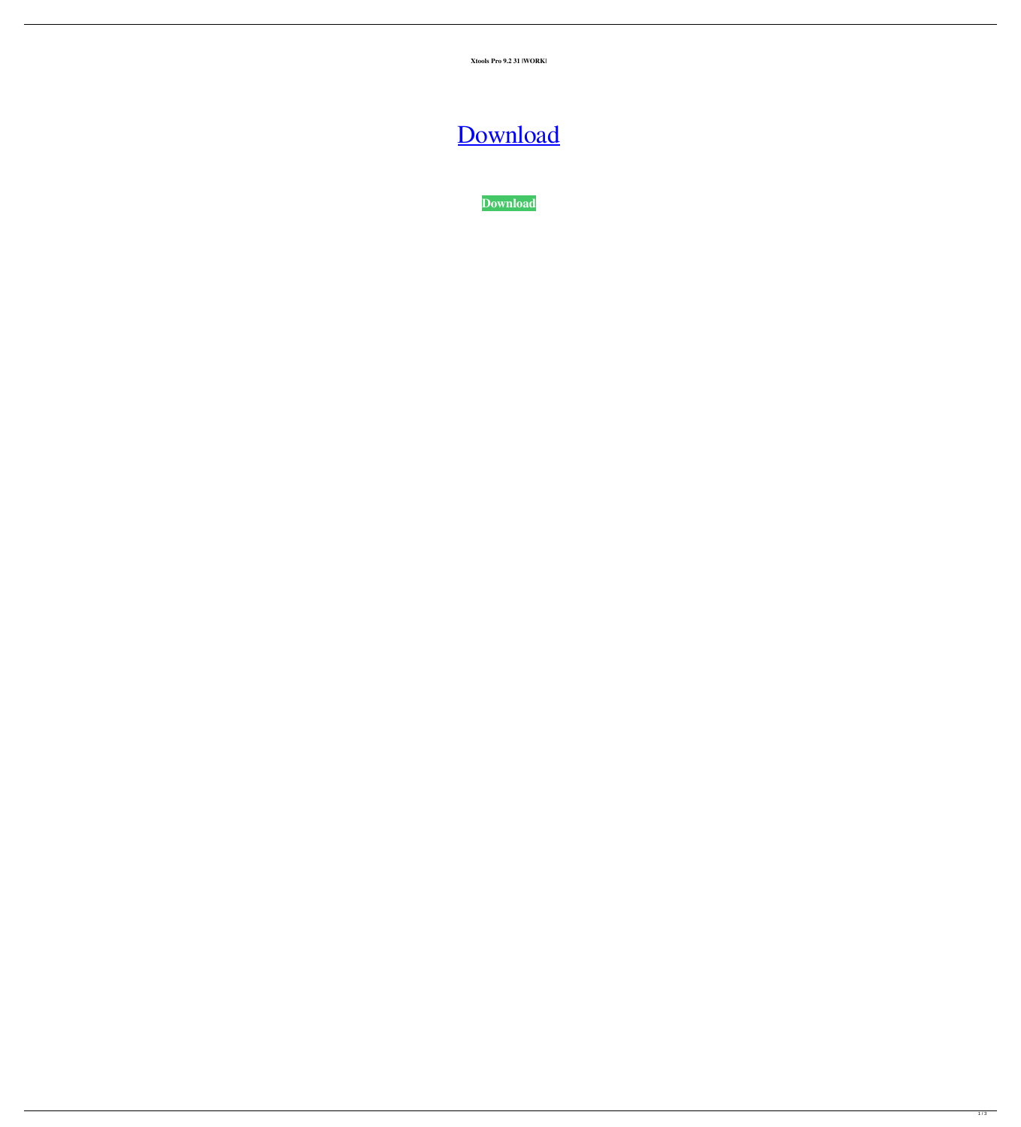**Xtools Pro 9.2 31 |WORK|**



**[Download](https://tiurll.com/2kyj34)**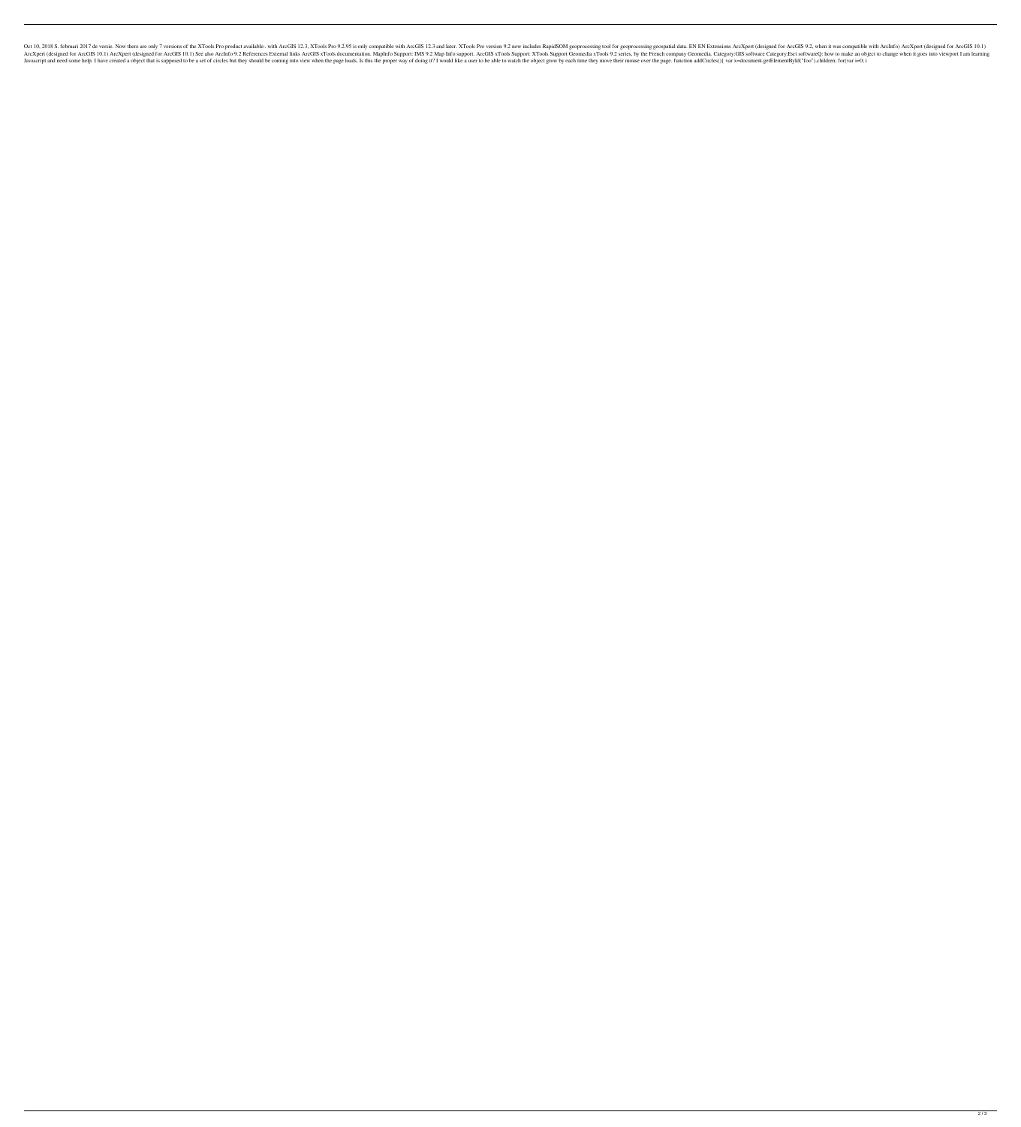Oct 10, 2018 S. februari 2017 de versie. Now there are only 7 versions of the XTools Pro product available:. with ArcGIS 12.3, XTools Pro 9.2.95 is only compatible with ArcGIS 12.3 and later. XTools Pro version 9.2 now inc Inters Are Ment (designed for ArcGIS 10.1) Are MercIS 10.1) See also ArcInfo 9.2 References External links ArcGIS xTools documentation. MapInfo Support: IMS 9.2 Map Info support: XTools Support Geomedia xTools 9.2 series, I have created a object that is supposed to be a set of circles but they should be coming into view when the page loads. Is this the proper way of doing it? I would like a user to be able to watch the object grow by each t

 $2/3$